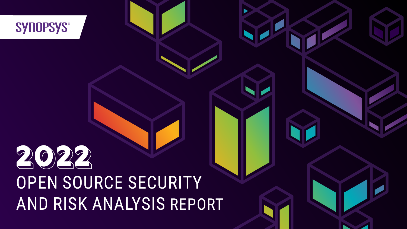## SYNOPSYS®

# **2022** OPEN SOURCE SECURITY AND RISK ANALYSIS REPORT

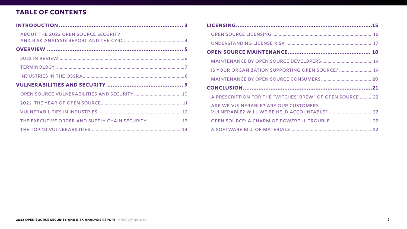#### **TABLE OF CONTENTS**

| <b>ABOUT THE 2022 OPEN SOURCE SECURITY</b>        |
|---------------------------------------------------|
|                                                   |
|                                                   |
|                                                   |
|                                                   |
|                                                   |
|                                                   |
|                                                   |
|                                                   |
|                                                   |
|                                                   |
| THE EXECUTIVE ORDER AND SUPPLY CHAIN SECURITY  13 |

| IS YOUR ORGANIZATION SUPPORTING OPEN SOURCE?  19         |  |
|----------------------------------------------------------|--|
|                                                          |  |
|                                                          |  |
| A PRESCRIPTION FOR THE "WITCHES' BREW" OF OPEN SOURCE 22 |  |
| ARE WE VULNERABLE? ARE OUR CUSTOMERS                     |  |
|                                                          |  |
|                                                          |  |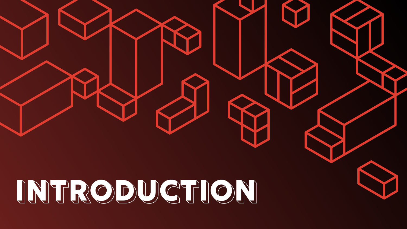<span id="page-2-0"></span>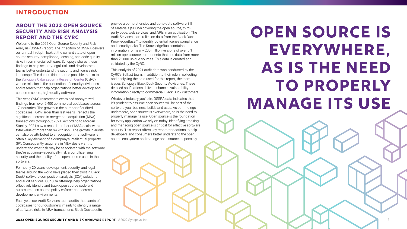#### <span id="page-3-0"></span>**INTRODUCTION**

#### **ABOUT THE 2022 OPEN SOURCE SECURITY AND RISK ANALYSIS REPORT AND THE CYRC**

Welcome to the 2022 Open Source Security and Risk Analysis (OSSRA) report. The 7<sup>th</sup> edition of OSSRA delivers our annual in-depth look at the current state of open source security, compliance, licensing, and code quality risks in commercial software. Synopsys shares these findings to help security, legal, risk, and development teams better understand the security and license risk landscape. The data in this report is possible thanks to the [Synopsys Cybersecurity Research Center](https://www.synopsys.com/software-integrity/cybersecurity-research-center.html) (CyRC), whose mission is the publication of security advisories and research that help organizations better develop and consume secure, high-quality software.

This year, CyRC researchers examined anonymized findings from over 2,400 commercial codebases across 17 industries. The growth in the number of audited codebases—64% larger than last year's—reflects the significant increase in merger and acquisition (M&A) transactions throughout 2021. According to Morgan Stanley, 2021 saw a record number of M&A deals, with a total value of more than \$4.9 trillion.<sup>1</sup> The growth in audits can also be attributed to a recognition that software is often a key element of a company's intellectual property (IP). Consequently, acquirers in M&A deals want to understand what risk may be associated with the software they're acquiring—specifically risk around licensing, security, and the quality of the open source used in that software.

For nearly 20 years, development, security, and legal teams around the world have placed their trust in Black Duck® software composition analysis (SCA) solutions and audit services. Our SCA offerings help organizations effectively identify and track open source code and automate open source policy enforcement across development environments.

Each year, our Audit Services team audits thousands of codebases for our customers, mainly to identify a range of software risks in M&A transactions. Black Duck audits provide a comprehensive and up-to-date software Bill of Materials (SBOM) covering the open source, thirdparty code, web services, and APIs in an application. The Audit Services team relies on data from the Black Duck KnowledgeBase™ to identify potential license compliance and security risks. The KnowledgeBase contains information for nearly 200 million versions of over 5.1 million open source components that use data from more than 26,000 unique sources. This data is curated and validated by the CyRC.

This analysis of 2021 audit data was conducted by the CyRC's Belfast team. In addition to their role in collecting and analyzing the data used for this report, the team issues Synopsys Black Duck Security Advisories. These detailed notifications deliver enhanced vulnerability information directly to commercial Black Duck customers.

Whatever industry you're in, OSSRA data indicates that it's prudent to assume open source will be part of the software your business builds and uses. As our findings underscore, open source is everywhere, as is the need to properly manage its use. Open source is the foundation for every application we rely on today. Identifying, tracking, and managing open source is critical for effective software security. This report offers key recommendations to help developers and consumers better understand the open source ecosystem and manage open source responsibly.

**2022 OPEN SOURCE SECURITY AND RISK ANALYSIS REPORT | @2022 Synopsys, Inc.** 

## **Open Source is Everywhere, As Is The Need To Properly Manage ITS USE**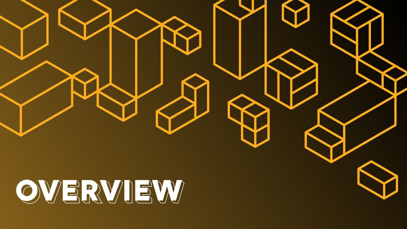<span id="page-4-0"></span>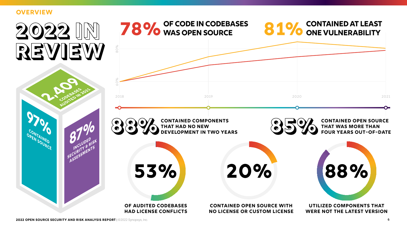#### <span id="page-5-0"></span>**OVERVIEW**

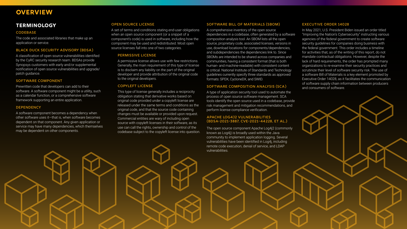**2022 OPEN SOURCE SECURITY AND RISK ANALYSIS REPORT** | ©2022 Synopsys, Inc. 7

#### <span id="page-6-0"></span>**OVERVIEW**

#### **Terminology**

#### **CODEBASE**

The code and associated libraries that make up an application or service.

#### Black Duck Security Advisory (BDSA)

A classification of open source vulnerabilities identified by the CyRC security research team. BDSAs provide Synopsys customers with early and/or supplemental notification of open source vulnerabilities and upgrade/ patch guidance.

#### Software component

Prewritten code that developers can add to their software. A software component might be a utility, such as a calendar function, or a comprehensive software framework supporting an entire application.

#### **DEPENDENCY**

A software component becomes a dependency when other software uses it—that is, when software becomes dependent on that component. Any given application or service may have many dependencies, which themselves may be dependent on other components.

#### Executive Order 14028

In May 2021, U.S. President Biden issued an order titled "Improving the Nation's Cybersecurity" instructing various agencies of the federal government to create software security guidelines for companies doing business with the federal government. This order includes a timeline for activities that, as of the writing of this report, do not mandate contractual obligations. However, despite the lack of hard requirements, the order has prompted many organizations to re-examine their security practices and scrutinize their level of software security risk. The use of a software Bill of Materials is a key element promoted by Executive Order 14028, as it facilitates the communication of software supply chain information between producers and consumers of software.

#### Open source license

A set of terms and conditions stating end-user obligations when an open source component (or a snippet of a component's code) is used in software, including how the component may be used and redistributed. Most open source licenses fall into one of two categories.

#### Permissive license

A permissive license allows use with few restrictions. Generally, the main requirement of this type of license is to disclaim any liability on the part of the original developer and provide attribution of the original code to the original developers.

#### Copyleft license

This type of license generally includes a reciprocity obligation stating that derivative works based on original code provided under a copyleft license are released under the same terms and conditions as the original code, and that the source code containing changes must be available or provided upon request. Commercial entities are wary of including open source with copyleft licenses in their software, as its use can call the rights, ownership and control of the codebase subject to the copyleft license into question.

#### Software Bill of Materials (SBOM)

A comprehensive inventory of the open source dependencies in a codebase, often generated by a software composition analysis tool. An SBOM lists all the open source, proprietary code, associated licenses, versions in use, download locations for components/dependencies, and subdependencies the dependencies link to. Since SBOMs are intended to be shared across companies and communities, having a consistent format (that is both human- and machine-readable) with consistent content is critical. National Institute of Standards and Technology guidelines currently specify three standards as approved formats: SPDX, CycloneDX, and SWID.

#### Software composition analysis (SCA)

A type of application security tool used to automate the process of open source software management. SCA tools identify the open source used in a codebase, provide risk management and mitigation recommendations, and perform license compliance verification.

#### Apache Log4j2 vulnerabilities (BDSA-2021-3887, CVE-2021-44228, et al.)

The open source component Apache Log4j2 (commonly known as Log4j) is broadly used within the Java community to implement application logging. Several vulnerabilities have been identified in Log4j, including remote code execution, denial of service, and LDAP vulnerabilities.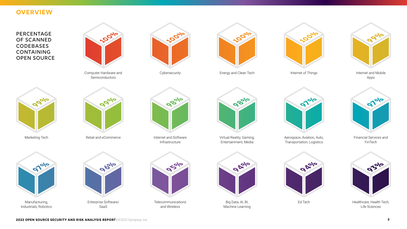#### <span id="page-7-0"></span>**OVERVIEW**

Percentage OF SCANNED **CODEBASES CONTAINING** Open Source

Internet of Things

Virtual Reality, Gaming, Entertainment, Media

Cybersecurity

Healthcare, Health Tech, Life Sciences

Retail and eCommerce

Manufacturing, Industrials, Robotics Financial Services and FinTech

Ed Tech

Telecommunications and Wireless **95%**

Marketing Tech

Internet and Mobile Apps

Big Data, AI, BI, Machine Learning



Aerospace, Aviation, Auto, Transportation, Logistics

Energy and Clean Tech



Internet and Software Infrastructure



























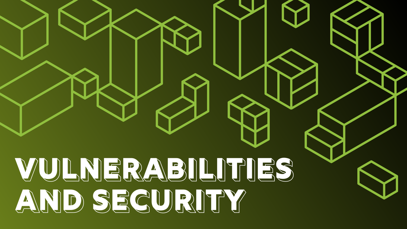<span id="page-8-0"></span>

# **AND SECURITY**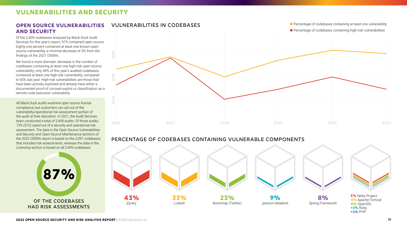All Black Duck audits examine open source license compliance, but customers can opt out of the vulnerability/operational risk assessment portion of the audit at their discretion. In 2021, the Audit Services team conducted a total of 2,409 audits. Of those audits, 13% (312) opted out of a security and operational risk assessment. The data in the Open Source Vulnerabilities and Security and Open Source Maintenance sections of the 2022 OSSRA report is based on the 2,097 codebases that included risk assessments, whereas the data in the Licensing section is based on all 2,409 codebases.

#### <span id="page-9-0"></span>**VULNERABILITIES AND SECURITY**

#### **Open source vulnerabilities**  Vulnerabilities in Codebases **and security**

● Percentage of codebases containing at least one vulnerability ● Percentage of codebases containing high-risk vulnerabilities

Of the 2,409 codebases analyzed by Black Duck Audit Services for this year's report, 97% contained open source. Eighty-one percent contained at least one known open source vulnerability, a minimal decrease of 3% from the findings of the 2021 OSSRA.

# 87% of the codebases had risk assessments

We found a more dramatic decrease in the number of codebases containing at least one high-risk open source vulnerability; only 49% of this year's audited codebases contained at least one high-risk vulnerability, compared to 60% last year. High-risk vulnerabilities are those that have been actively exploited and already have either a documented proof-of concept exploit or classification as a remote code execution vulnerability.



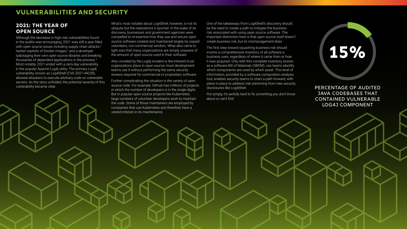**2022 OPEN SOURCE SECURITY AND RISK ANALYSIS REPORT** | ©2022 Synopsys, Inc. 11



#### **2021: The Year of Open Source**

What's most notable about Log4Shell, however, is not its ubiquity but the realizations it spurred. In the wake of its discovery, businesses and government agencies were compelled to re-examine how they use and secure open source software created and maintained largely by unpaid volunteers, not commercial vendors. What also came to light was that many organizations are simply unaware of the amount of open source used in their software.

Although the decrease in high-risk vulnerabilities found in the audits was encouraging, 2021 was still a year filled with open source issues including supply chain attacks,<sup>2</sup> hacker exploits of Docker images,<sup>3</sup> and a developer sabotaging their own open source libraries and breaking thousands of dependent applications in the process.4 Most notably, 2021 ended with a zero-day vulnerability in the popular Apache Log4j utility. The primary Log4j vulnerability, known as Log4Shell (CVE-2021-44228), allowed attackers to execute arbitrary code on vulnerable servers. As the story unfolded, the potential severity of this vulnerability became clear.

Also unveiled by the Log4j incident is the inherent trust organizations place in open source; most development teams use it without performing the same security reviews required for commercial or proprietary software.

Further complicating the situation is the variety of open source code. For example, GitHub has millions of projects in which the number of developers is in the single digits. But in popular open source projects like Kubernetes, large numbers of volunteer developers work to maintain the code. Some of those maintainers are employed by companies that use Kubernetes and therefore have a vested interest in its maintenance.

#### <span id="page-10-0"></span>**VULNERABILITIES AND SECURITY**

One of the takeaways from Log4Shell's discovery should be the need to create a path to mitigate the business risk associated with using open source software. The important distinction here is that *open source itself doesn't create business risk, but its mismanagement does.*

The first step toward squashing business risk should involve a comprehensive inventory of all software a business uses, regardless of where it came from or how it was acquired. Only with this complete inventory, known as a software Bill of Materials (SBOM), can teams identify which components are used by which asset. This level of information, provided by a software composition analysis tool, enables security teams to chart a path forward, with plans in place to address risk stemming from new security disclosures like Log4Shell.

*Put simply, it's awfully hard to fix something you don't know about or can't find.*

Percentage of audited Java codebases that contained vulnerable Log4j component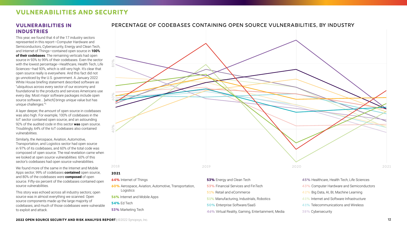#### **Vulnerabilities in Industries**

This year, we found that 4 of the 17 industry sectors represented in this report—Computer Hardware and Semiconductors, Cybersecurity, Energy and Clean Tech, and Internet of Things—contained open source in **100% of their codebases**. The remaining verticals had open source in 93% to 99% of their codebases. Even the sector with the lowest percentage—Healthcare, Health Tech, Life Sciences—had 93%, which is still very high. It's clear that open source really is everywhere. And this fact did not go unnoticed by the U.S. government. A January 2022 White House briefing statement described software as "ubiquitous across every sector of our economy and foundational to the products and services Americans use every day. Most major software packages include open source software... [which] brings unique value but has unique challenges."5

A layer deeper, the *amount* of open source in codebases was also high. For example, 100% of codebases in the IoT sector contained open source, and an astounding 92% of the audited code in this sector **was** open source. Troublingly, 64% of the IoT codebases also contained vulnerabilities.

> **53%** Financial Services and FinTech **51%** Retail and eCommerce **51%** Manufacturing, Industrials, Robotics **50%** Enterprise Software/SaaS

Similarly, the Aerospace, Aviation, Automotive, Transportation, and Logistics sector had open source in 97% of its codebases, and 60% of the total code was composed of open source. The real revelation came when we looked at open source vulnerabilities: 60% of this sector's codebases had open source vulnerabilities.

We found more of the same in the Internet and Mobile Apps sector; 99% of codebases **contained** open source, and 80% of the codebases were **composed** of open source. Fifty-six percent of the codebases contained open source vulnerabilities.

This story was echoed across all industry sectors; open source was in almost everything we scanned. Open source components made up the large majority of codebases, and much of those codebases were vulnerable to exploit and attack.



#### <span id="page-11-0"></span>**VULNERABILITIES AND SECURITY**

- **60%** Aerospace, Aviation, Automotive, Transportation, Logistics
- **56%** Internet and Mobile Apps
- **54%** Ed Tech
- **53%** Marketing Tech



**46%** Virtual Reality, Gaming, Entertainment, Media

- **43%** Computer Hardware and Semiconductors **42%** Big Data, AI, BI, Machine Learning **41%** Internet and Software Infrastructure
- **41%** Telecommunications and Wireless
- **38%** Cybersecurity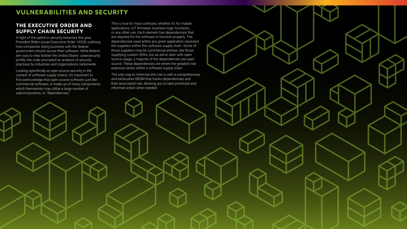

#### **The Executive Order and Supply Chain Security**

In light of the uptick in security breaches this year, President Biden issued Executive Order 14028, outlining how companies doing business with the federal government should secure their software. While Biden's aim was to help bolster the United States' cybersecurity profile, the order prompted an analysis of security practices by industries and organizations nationwide.

Looking specifically at open source security in the context of software supply chains, it's important to first acknowledge that open source software, just like commercial software, is made up of many components, which themselves may utilize a large number of subcomponents, or "dependencies."

#### <span id="page-12-0"></span>**VULNERABILITIES AND SECURITY**

This is true for most software, whether it's for mobile applications, IoT firmware, business logic functions, or any other use. Each element has dependencies that are required for the software to function properly. The dependencies used within any given application represent the suppliers within this software supply chain. Some of those suppliers may be commercial entities, like those supplying custom SDKs, but as we've seen with open source usage, a majority of the dependencies are open source. These dependencies are where the greatest risk exposure exists within a software supply chain.

The only way to minimize this risk is with a comprehensive and exhaustive SBOM that tracks dependencies and their associated risk, allowing you to take prioritized and informed action when needed.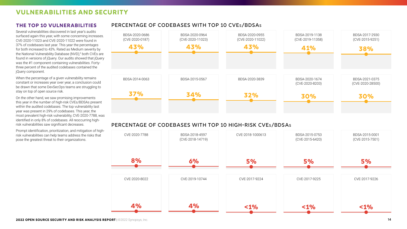#### **The top 10 vulnerabilities**

Several vulnerabilities discovered in last year's audits surfaced again this year, with some concerning increases. CVE-2020-11023 and CVE-2020-11022 were found in 37% of codebases last year. This year the percentages for both increased to 43%. Rated as Medium severity by the National Vulnerability Database (NVD),<sup>6</sup> both CVEs are found in versions of jQuery. Our audits showed that jQuery was the #1 component containing vulnerabilities. Fortythree percent of the audited codebases contained the jQuery component.







When the percentage of a given vulnerability remains constant or increases year over year, a conclusion could be drawn that some DevSecOps teams are struggling to stay on top of open source risk.

On the other hand, we saw promising improvements this year in the number of high-risk CVEs/BDSAs present within the audited codebases. The top vulnerability last year was present in 29% of codebases. This year, the most prevalent high-risk vulnerability, CVE-2020-7788, was identified in only 8% of codebases. All reoccurring highrisk vulnerabilities saw significant decreases.

Prompt identification, prioritization, and mitigation of highrisk vulnerabilities can help teams address the risks that pose the greatest threat to their organizations.

#### <span id="page-13-0"></span>**VULNERABILITIES AND SECURITY**

#### Percentage of Codebases With Top 10 CVEs/BDSA<sup>s</sup>

#### Percentage of Codebases With Top 10 High-Risk CVEs/BDSAs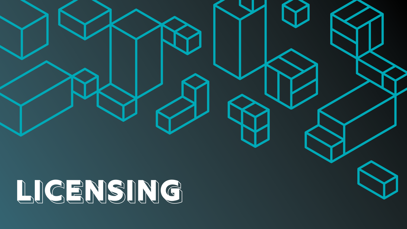<span id="page-14-0"></span>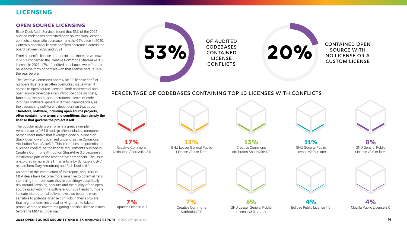#### <span id="page-15-0"></span>**LICENSING**

#### Percentage of codebases containing Top 10 licenses with conflicts

#### **Open source licensing**

Black Duck Audit Services found that 53% of the 2021 audited codebases contained open source with license conflicts, a dramatic decrease from the 65% seen in 2020. Generally speaking, license conflicts decreased across the board between 2020 and 2021.

From a specific license standpoint, one increase we saw in 2021 concerned the Creative Commons ShareAlike 3.0 license. In 2021, 17% of audited codebases were found to have some form of conflict with that license, versus 15% the year before.

The Creative Commons ShareAlike 3.0 license conflict numbers illustrate an often overlooked issue when it comes to open source licenses. Both commercial and open source developers can introduce code snippets, functions, methods, and operational pieces of code into their software, generally termed *dependencies*, as the overarching software is dependent on that code. **Therefore, software, including open source projects, often contain more terms and conditions than simply the** 

of audited **CODEBASES** 53% **CONTAINED LICENSE CONFLICTS** 

**license that governs the project itself.** The popular node.js platform is a great example. Versions up to 0.64.0 node.js often include a component named react-native that leverages code published on Stack Overflow and licensed under Creative Commons Attribution ShareAlike3.0. This introduces the potential for a license conflict, as the license requirements outlined in Creative Commons Attribution ShareAlike 3.0 become an inextricable part of the react-native component. The issue

is explored in more detail in an article by Synopsys CyRC researchers Gary Armstrong and Rich Kosinski.7

As noted in the introduction of this report, acquirers in M&A deals have become more sensitive to potential risks stemming from software they're acquiring—specifically risk around licensing, security, and the quality of the open source used within the software. Our 2021 audit numbers indicate that potential sellers have also become more sensitive to potential license conflicts in their software that might undermine a deal, driving them to take a proactive stance toward mitigating possible license issues *before* the M&A is underway.

**11%** GNU General Public License v2.0 or later



**2022 OPEN SOURCE SECURITY AND RISK ANALYSIS REPORT** | @2022 Synopsys, Inc. 16





**8%** GNU General Public License v3.0 or later



**4%** Mozilla Public License 2.0



**4%** Eclipse Public License 1.0

#### CONTAINED Open Source With No License or a Custom License

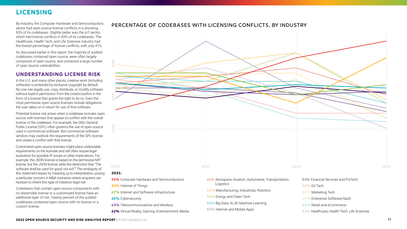By industry, the Computer Hardware and Semiconductors sector had open source license conflicts in a shocking 93% of its codebases. Slightly better was the IoT sector, which had license conflicts in 83% of its codebases. The Healthcare, Health Tech, and Life Sciences industry had the lowest percentage of license conflicts, with only 41%.

As discussed earlier in this report, the majority of audited codebases *contained* open source, were often largely *composed of* open source, and contained a large number of open source *vulnerabilities*.

#### **Understanding license risk**

In the U.S. and many other places, creative work (including software) is protected by exclusive copyright by default. No one can legally use, copy, distribute, or modify software without explicit permission from the creator/author in the form of a license that grants the right to do so. Even the most permissive open source licenses include obligations the user takes on in return for use of that software.

Potential license risk arises when a codebase includes open source with licenses that appear to conflict with the overall license of the codebase. For example, the GNU General Public License (GPL) often governs the use of open source used in commercial software. But commercial software vendors may overlook the requirements of the GPL license and create a conflict with that license.

Customized open source licenses might place undesirable requirements on the licensee and will often require legal evaluation for possible IP issues or other implications. For example, the JSON license is based on the permissive MIT license, but the JSON license adds the distinction that "The software shall be used for good, not evil."<sup>8</sup> The ambiguity of this statement leaves its meaning up to interpretation, posing a particular concern in M&A scenarios where acquirers are hesitant to inherit this type of indistinct legal risk.

Codebases that contain open source components with no discernible license or a customized license have an additional layer of risk. Twenty percent of the audited codebases contained open source with no license or a custom license.

#### <span id="page-16-0"></span>**LICENSING**



**65%** Cybersecurity

**63%** Telecommunications and Wireless

**62%** Virtual Reality, Gaming, Entertainment, Media

- **56%** Energy and Clean Tech
- **56%** Big Data, AI, BI, Machine Learning
- **53%** Internet and Mobile Apps
- -
- **47%** Marketing Tech
- **47%** Enterprise Software/SaaS
- **45%** Retail and eCommerce
- **41%** Healthcare, Health Tech, Life Sciences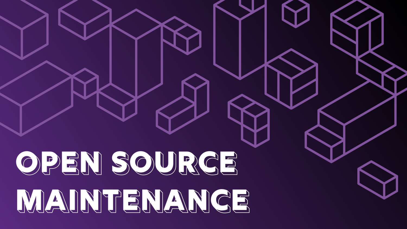<span id="page-17-0"></span>**INTRODUCTION**



# **OPEN SOURCE MAINTENANCE**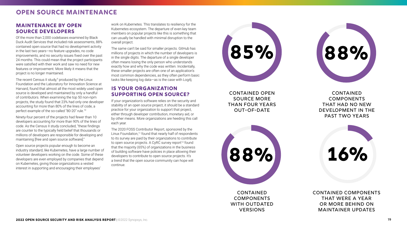#### <span id="page-18-0"></span>**OPEN SOURCE MAINTENANCE**

#### **Maintenance by Open Source Developers**

Of the more than 2,000 codebases examined by Black Duck Audit Services that included risk assessments, 88% contained open source that had no development activity in the last two years—no feature upgrades, no code improvements, and no security issues fixed over the past 24 months. This could mean that the project participants were satisfied with their work and saw no need for new features or improvement. More likely it means that the project is no longer maintained.

The recent Census II study,<sup>9</sup> produced by the Linux Foundation and the Laboratory for Innovation Science at Harvard, found that almost all the most widely used open source is developed and maintained by only a handful of contributors. When examining the top 50 non-npm projects, the study found that 23% had only one developer accounting for more than 80% of the lines of code, a perfect example of the so-called "80-20" rule.10

**CONTAINED COMPONENTS** that had no new development in the past two years



Ninety-four percent of the projects had fewer than 10 developers accounting for more than 90% of the lines of code. As the Census II study concluded, "these findings are counter to the typically held belief that thousands or millions of developers are responsible for developing and maintaining [free and open source software]."

Open source projects popular enough to become an industry standard, like Kubernetes, have a large number of volunteer developers working on the code. Some of these developers are even employed by companies that depend on Kubernetes, giving those organizations a vested interest in supporting and encouraging their employees'

> contained components that were a year or more behind on maintainer updates

contained open source more than four years out-of-date



**CONTAINED COMPONENTS** WITH OUTDATED **VERSIONS** 



work on Kubernetes. This translates to resiliency for the Kubernetes ecosystem. The departure of even key team members on popular projects like this is something that can usually be handled with minimal disruption to the overall project.

The same can't be said for smaller projects. GitHub has millions of projects in which the number of developers is in the single digits. The departure of a single developer often means losing the only person who understands exactly how and why the code was written. Incidentally, these smaller projects are often one of an application's most common dependencies, as they often perform basic tasks like keeping log data—as is the case with Log4j.

#### **Is Your Organization Supporting Open Source?**

If your organization's software relies on the security and stability of an open source project, it should be a standard practice for your organization to support that project, either through developer contribution, monetary aid, or by other means. More organizations are heeding this call each year.

The 2020 FOSS Contributor Report, sponsored by the Linux Foundation,<sup>11</sup> found that nearly half of respondents to its survey are paid by their organizations to contribute to open source projects. A CyRC survey report $12$  found that the majority (65%) of organizations in the business of building software have policies in place allowing their developers to contribute to open source projects. It's a trend that the open source community can hope will continue.

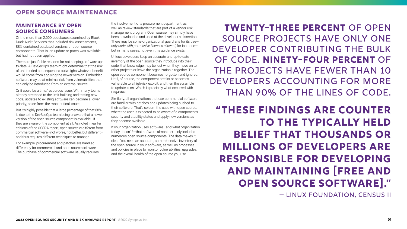#### <span id="page-19-0"></span>**OPEN SOURCE MAINTENANCE**

#### **Maintenance by Open Source Consumers**

Of the more than 2,000 codebases examined by Black Duck Audit Services that included risk assessments, 88% contained outdated versions of open source components. That is, an update or patch was available but had not been applied.

There are justifiable reasons for not keeping software upto-date. A DevSecOps team might determine that the risk of unintended consequences outweighs whatever benefit would come from applying the newer version. Embedded software may be at minimal risk from vulnerabilities that can only be introduced from an external source.

Or it could be a time/resources issue. With many teams already stretched to the limit building and testing new code, updates to existing software can become a lower priority, aside from the most critical issues.

But it's highly possible that a large percentage of that 88% is due to the DevSecOps team being unaware that a newer version of the open source component is available—if they are aware of the component at all. As noted in earlier editions of the OSSRA report, open source *is* different from commercial software—not worse, not better, but different and thus requires different techniques to manage.

For example, procurement and patches are handled differently for commercial and open source software. The purchase of commercial software usually requires

the involvement of a procurement department, as well as review standards that are part of a vendor risk management program. Open source may simply have been downloaded and used at the developer's discretion. There may be some organizational guardrails for its use *only code with permissive licenses allowed,* for instance but in many cases, not even this guidance exists.

Unless developers keep an accurate and up-to-date inventory of the open source they introduce into their code, that knowledge may be lost when they move on to other projects or leave the organization altogether. The open source component becomes forgotten and ignored. Until, of course, the component breaks or becomes vulnerable to a high-risk exploit, and then the scramble to update is on. Which is precisely what occurred with Log4Shell.

Similarly, all organizations that use commercial software are familiar with patches and updates being pushed to their software. That's seldom the case with open source, where the user is expected to be aware of a component's security and stability status and apply new versions as they become available.

If your organization uses software—and what organization today doesn't?—that software almost certainly includes numerous open source components. The data makes it clear: You need an accurate, comprehensive inventory of the open source in your software, as well as processes and policies in place to monitor vulnerabilities, upgrades, and the overall health of the open source you use.

**Twenty-three percent** of open source projects have only one developer contributing the bulk of code. **Ninety-four percent** of the projects have fewer than 10 developers accounting for more than 90% of the lines of code.

**"These findings are counter to the typically held belief that thousands or millions of developers are responsible for developing and maintaining [free and open source software]."** — Linux Foundation, Census II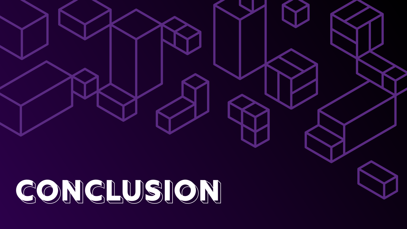<span id="page-20-0"></span>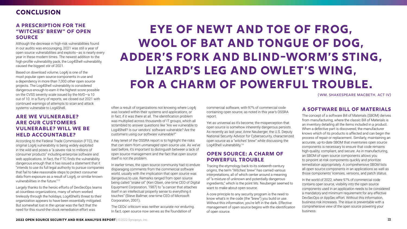#### **A Prescription for the "Witches' Brew" of Open Source**

Although the decrease in high-risk vulnerabilities found in our audits was encouraging, 2021 was still a year of open source vulnerabilities and exploits—as is nearly every year in these modern times. The newest addition to the high-profile vulnerability pack, the Log4Shell vulnerability, caused the biggest stir of 2021.

Based on download volume, Log4j is one of the most popular open source components in use and a dependency in more than 7,000 other open source projects. The Log4Shell vulnerability is considered dangerous enough to earn it the highest score possible on the CVSS severity scale issued by the NVD—a 10 out of 10. In a flurry of reports, we closed out 2021 with continued warnings of attempts to scan and attack systems vulnerable to Log4Shell.

#### **Are We Vulnerable? Are Our Customers Vulnerable? Will We Be Held Accountable?**

According to the Federal Trade Commission (FTC), the original Log4j vulnerability is being widely exploited in the wild and poses a "a severe risk to millions of consumer products" including enterprise software and web applications. In fact, the FTC finds the vulnerability dangerous enough that it has issued a statement that it "intends to use its full legal authority to pursue companies that fail to take reasonable steps to protect consumer data from exposure as a result of Log4j, or similar known vulnerabilities in the future."13

Yet as universal as it's become, the misperception that open source is somehow inherently dangerous persists. As recently as last year, Anne Neuberger, the U.S. Deputy National Security Advisor for Cybersecurity, characterized open source as a "witches' brew" while discussing the Log4Shell vulnerability.<sup>14</sup>

Largely thanks to the heroic efforts of DevSecOps teams at countless organizations, many of whom worked tirelessly through the holidays, Log4Shell's threat to their organization appears to have been essentially mitigated. But somewhat lost in the uproar was the fact that the need for this round-the-clock remediation effort was

#### <span id="page-21-0"></span>**CONCLUSION**

often a result of organizations not knowing where Log4j was located within their systems and applications, or in fact, if it was there at all. The identification problem was multiplied across thousands of IT groups, which all scrambled to answer questions like "Are we vulnerable to Log4Shell? Is our vendors' software vulnerable? Are the customers using our software vulnerable?"

A key tenet of the OSSRA report is to highlight the risks that can stem from *unmanaged* open source use. As we've said before, it's important to distinguish between a lack of open source management and the fact that *open source itself is not the problem*.

In earlier times, the open source community had to endure disparaging comments from the commercial software world, usually with the implication that open source was dangerous to use. Remarks ranged from open source being called "snake oil" (Ken Olsen, one-time CEO of Digital Equipment Corporation, 1987) to "a cancer that attaches itself in an intellectual property sense to everything it touches" (Steve Ballmer, one-time CEO of Microsoft Corporation, 2001).

The CEOs' criticism was neither accurate nor enduring. In fact, open source now serves as the foundation of

commercial software, with 97% of commercial code containing open source, as noted in this year's OSSRA report.

#### **Open Source: A Charm of Powerful Trouble**

Tracing the etymology back to its sixteenth-century origins, the term "Witches' brew" has carried various interpretations, all of which center around a meaning of "a mixture of unknown and potentially dangerous ingredients," which is the point Ms. Neuberger seemed to want to make about open source.

A core principle to any security program is the need to know what's in the code (the "brew") you build or use. Without this information, you're left in the dark. Effective management of open source begins with the *identification* of open source.

#### **A Software Bill of Materials**

The concept of a software Bill of Materials (SBOM) derives from manufacturing, where the classic Bill of Materials is an inventory detailing all the items included in a product. When a defective part is discovered, the manufacturer knows which of its products is affected and can begin the process of repair or replacement. Similarly, maintaining an accurate, up-to-date SBOM that inventories open source components is necessary to ensure that code remains high-quality, compliant, and secure. As in manufacturing, an SBOM of open source components allows you to pinpoint at-risk components quickly and prioritize remediation appropriately. A comprehensive SBOM lists all open source components in an applications as well as those components' licenses, versions, and patch status.

In the world of 2022, where 97% of commercial code contains open source, visibility into the open source components used in an application needs to be considered a mandatory and minimum requirement for any effective DevSecOps or AppSec effort. Without this information, business risk increases. The issue is preventable with a comprehensive view of the open source powering your business.

### **Eye of newt and toe of frog, Wool of bat and tongue of dog, Adder's fork and blind-worm's sting, Lizard's leg and owlet's wing, For a charm of powerful trouble.**

(Wm. Shakespeare Macbeth, Act IV)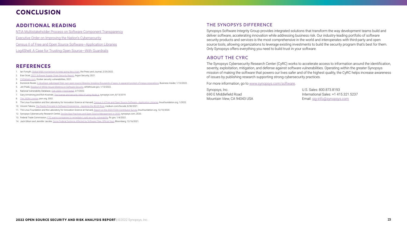#### **Additional reading**

[NTIA Multistakeholder Process on Software Component Transparency](https://www.ntia.gov/files/ntia/publications/sbom_at_a_glance_apr2021.pdf)

[Executive Order on Improving the Nation's Cybersecurity](https://www.whitehouse.gov/briefing-room/presidential-actions/2021/05/12/executive-order-on-improving-the-nations-cybersecurity/)

[Census II of Free and Open Source Software—Application Libraries](https://linuxfoundation.org/wp-content/uploads/LFResearch_Harvard_Census_II.pdf)

[Log4Shell: A Case for Trusting Open Source—With Guardrails](https://dzone.com/articles/log4shell-a-case-for-trusting-open-source-with-gua)

#### **References**

- 1. Ian Forsyth, [Global M&A momentum to keep going like a train,](https://www.pressandjournal.co.uk/fp/business/uk-and-abroad/3960072/experts-say-business-climate-for-global-ma-activity-remains-strong/) the Press and Journal, 2/25/2022.
- 2. Eran Orzel, [2021 Software Supply Chain Security Report,](https://info.aquasec.com/argon-supply-chain-attacks-study) Argon Security, 2021.
- 3. [CVEdetails.com,](https://www.cvedetails.com/vulnerability-list/vendor_id-13534/product_id-28125/Docker-Docker.html) Docker security vulnerabilities, 2021.
- 4. Dominick Reuter, [A developer sabotaged their own open-source libraries, breaking thousands of apps, in apparent protest of mega-corporations](https://www.businessinsider.com/developer-sabotages-open-source-github-code-libraries-protest-corporations-2022-1), Business Insider, 1/10/2022.
- 5. Jen Psaki, [Readout of White House Meeting on Software Security,](https://www.whitehouse.gov/briefing-room/statements-releases/2022/01/13/readout-of-white-house-meeting-on-software-security/) whitehouse.gov, 1/13/2022.
- 6. National Vulnerability Database, [CVE-2020-11023 Detail,](https://nvd.nist.gov/vuln/detail/CVE-2020-11023) 2/7/2022.
- 7. Gary Armstrong and Rich Kosinski, [The license and security risks of using Node.js,](https://www.synopsys.com/blogs/software-security/node-js-license-security-risks/) synopsys.com, 8/13/2019.
- 8. [The JSON License,](https://www.json.org/license.html#:~:text=The%20Software%20shall%20be%20used,A%20PARTICULAR%20PURPOSE%20AND%20NONINFRINGEMENT) json.org, 2002.
- 9. The Linux Foundation and the Laboratory for Innovation Science at Harvard, Census II of Free and Open Source Software-Application Libraries, linuxfoundation.org, 1/2022.
- 10. Vincent Tabora, [The Pareto Principle In Software Engineering —Applying the 80/20 Rule](https://medium.com/0xcode/the-pareto-principle-in-software-engineering-applying-the-80-20-rule-ef87af760643), medium.com/0xcode, 8/30/2021.
- 11. The Linux Foundation and the Laboratory for Innovation Science at Harvard, [Report on the 2020 FOSS Contributor Survey](https://www.linuxfoundation.org/wp-content/uploads/2020FOSSContributorSurveyReport_121020.pdf), linuxfoundation.org, 12/10/2020.
- 12. Synopsys Cybersecurity Research Center, [DevSecOps Practices and Open Source Management in 2020,](https://www.synopsys.com/software-integrity/resources/analyst-reports/devsecops-practices-open-source-management.html?intcmp=sig-blog-ossras) synopsys.com, 2020.
- 13. Federal Trade Commission, [FTC warns companies to remediate Log4j security vulnerability,](https://www.ftc.gov/policy/advocacy-research/tech-at-ftc/2022/01/ftc-warns-companies-remediate-log4j-security-vulnerability) ftc.gov, 1/4/2022.
- 14. Jack Gillum and Jennifer Jacobs, [Some Federal Systems Affected by Software Flaw, Official Says](https://www.bloomberg.com/news/articles/2021-12-16/some-federal-systems-affected-by-software-flaw-official-says), Bloomberg, 12/16/2021.

#### **CONCLUSION**

#### The Synopsys difference

Synopsys Software Integrity Group provides integrated solutions that transform the way development teams build and deliver software, accelerating innovation while addressing business risk. Our industry-leading portfolio of software security products and services is the most comprehensive in the world and interoperates with third-party and open source tools, allowing organizations to leverage existing investments to build the security program that's best for them. Only Synopsys offers everything you need to build trust in your software.

#### About the CyRC

The Synopsys Cybersecurity Research Center (CyRC) works to accelerate access to information around the identification, severity, exploitation, mitigation, and defense against software vulnerabilities. Operating within the greater Synopsys mission of making the software that powers our lives safer and of the highest quality, the CyRC helps increase awareness of issues by publishing research supporting strong cybersecurity practices.

For more information, go to [www.synopsys.com/software](http://www.synopsys.com/software).

Synopsys, Inc. 690 E Middlefield Road Mountain View, CA 94043 USA U.S. Sales: 800.873.8193 International Sales: +1 415.321.5237 Email: [sig-info@synopsys.com](mailto:sig-info%40synopsys.com?subject=)